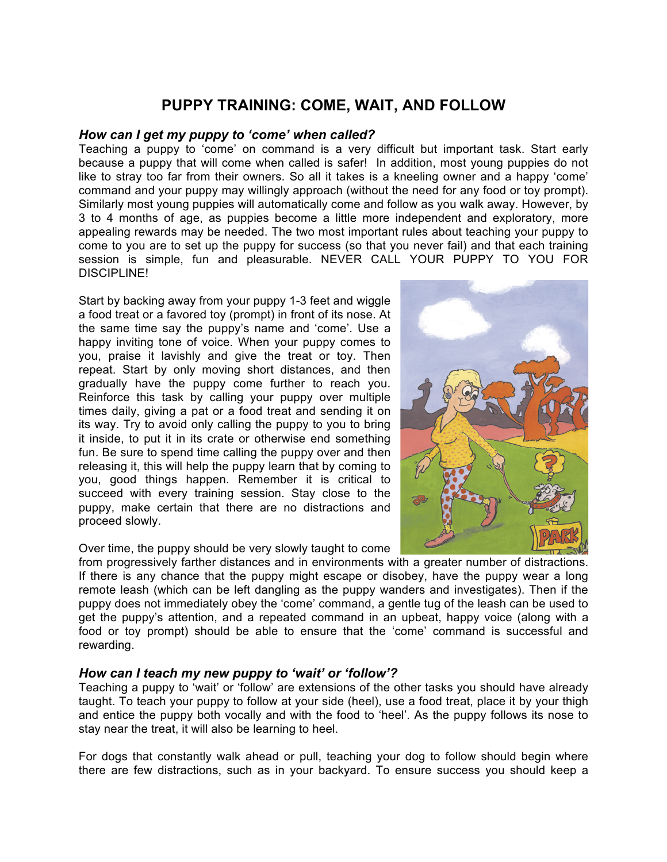## **PUPPY TRAINING: COME, WAIT, AND FOLLOW**

## *How can I get my puppy to 'come' when called?*

Teaching a puppy to 'come' on command is a very difficult but important task. Start early because a puppy that will come when called is safer! In addition, most young puppies do not like to stray too far from their owners. So all it takes is a kneeling owner and a happy 'come' command and your puppy may willingly approach (without the need for any food or toy prompt). Similarly most young puppies will automatically come and follow as you walk away. However, by 3 to 4 months of age, as puppies become a little more independent and exploratory, more appealing rewards may be needed. The two most important rules about teaching your puppy to come to you are to set up the puppy for success (so that you never fail) and that each training session is simple, fun and pleasurable. NEVER CALL YOUR PUPPY TO YOU FOR DISCIPLINE!

Start by backing away from your puppy 1-3 feet and wiggle a food treat or a favored toy (prompt) in front of its nose. At the same time say the puppy's name and 'come'. Use a happy inviting tone of voice. When your puppy comes to you, praise it lavishly and give the treat or toy. Then repeat. Start by only moving short distances, and then gradually have the puppy come further to reach you. Reinforce this task by calling your puppy over multiple times daily, giving a pat or a food treat and sending it on its way. Try to avoid only calling the puppy to you to bring it inside, to put it in its crate or otherwise end something fun. Be sure to spend time calling the puppy over and then releasing it, this will help the puppy learn that by coming to you, good things happen. Remember it is critical to succeed with every training session. Stay close to the puppy, make certain that there are no distractions and proceed slowly.

Over time, the puppy should be very slowly taught to come

from progressively farther distances and in environments with a greater number of distractions. If there is any chance that the puppy might escape or disobey, have the puppy wear a long remote leash (which can be left dangling as the puppy wanders and investigates). Then if the puppy does not immediately obey the 'come' command, a gentle tug of the leash can be used to get the puppy's attention, and a repeated command in an upbeat, happy voice (along with a food or toy prompt) should be able to ensure that the 'come' command is successful and rewarding.

## *How can I teach my new puppy to 'wait' or 'follow'?*

Teaching a puppy to 'wait' or 'follow' are extensions of the other tasks you should have already taught. To teach your puppy to follow at your side (heel), use a food treat, place it by your thigh and entice the puppy both vocally and with the food to 'heel'. As the puppy follows its nose to stay near the treat, it will also be learning to heel.

For dogs that constantly walk ahead or pull, teaching your dog to follow should begin where there are few distractions, such as in your backyard. To ensure success you should keep a